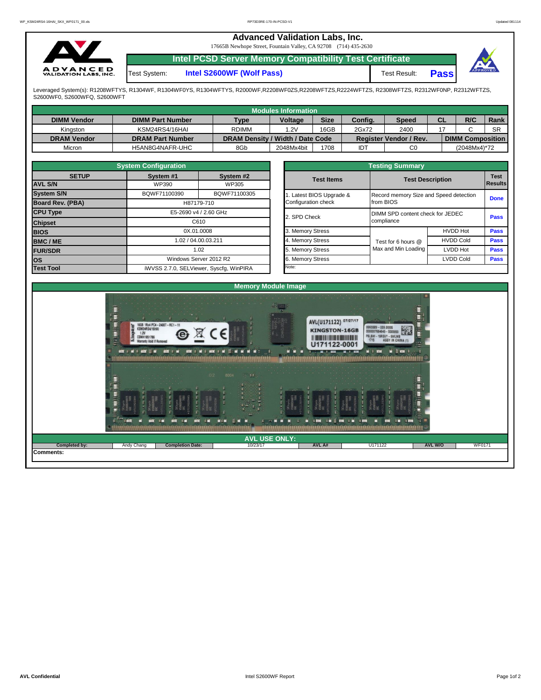## **Advanced Validation Labs, Inc.**

17665B Newhope Street, Fountain Valley, CA 92708 (714) 435-2630



**Intel PCSD Server Memory Compatibility Test Certificate**

Test System: **Intel S2600WF (Wolf Pass)** Test Result:



**Pass**

Leveraged System(s): R1208WFTYS, R1304WF, R1304WF0YS, R1304WFTYS, R2000WF,R2208WF0ZS,R2208WFTZS,R2224WFTZS, R2308WFTZS, R2312WF0NP, R2312WFTZS, S2600WF0, S2600WFQ, S2600WFT

|                    |                         |                                  | Modules Information |             |         |                               |           |                         |           |
|--------------------|-------------------------|----------------------------------|---------------------|-------------|---------|-------------------------------|-----------|-------------------------|-----------|
| <b>DIMM Vendor</b> | <b>DIMM Part Number</b> | <b>Type</b>                      | <b>Voltage</b>      | <b>Size</b> | Config. | Speed                         | <b>CL</b> | R/C                     | Rank      |
| Kinaston           | KSM24RS4/16HAI          | <b>RDIMM</b>                     | 1.2V                | 16GB        | 2Gx72   | 2400                          |           |                         | <b>SR</b> |
| <b>DRAM Vendor</b> | <b>DRAM Part Number</b> | DRAM Density / Width / Date Code |                     |             |         | <b>Register Vendor / Rev.</b> |           | <b>DIMM Composition</b> |           |
| Micron             | H5AN8G4NAFR-UHC         | 8Gb                              | 2048Mx4bit          | 1708        | IDT     | C <sub>0</sub>                |           | (2048Mx4)*72            |           |

|     |                                          | <b>System Configuration</b> |                                         |  | <b>Testing Summary</b> |                                        |                  |                        |  |  |  |  |  |  |
|-----|------------------------------------------|-----------------------------|-----------------------------------------|--|------------------------|----------------------------------------|------------------|------------------------|--|--|--|--|--|--|
|     | <b>SETUP</b>                             | System #1                   | System #2                               |  | <b>Test Items</b>      | <b>Test Description</b>                |                  | <b>Test</b><br>Results |  |  |  |  |  |  |
|     | <b>AVL S/N</b>                           | WP390                       | WP305                                   |  |                        |                                        |                  |                        |  |  |  |  |  |  |
|     | <b>System S/N</b>                        | BQWF71100390                | BQWF71100305                            |  | Latest BIOS Upgrade &  | Record memory Size and Speed detection |                  | <b>Done</b>            |  |  |  |  |  |  |
|     | Board Rev. (PBA)                         |                             | H87179-710                              |  | Configuration check    | from BIOS                              |                  |                        |  |  |  |  |  |  |
|     | <b>CPU Type</b><br>E5-2690 v4 / 2.60 GHz |                             |                                         |  | 2. SPD Check           | DIMM SPD content check for JEDEC       | <b>Pass</b>      |                        |  |  |  |  |  |  |
|     | <b>Chipset</b>                           | C610                        |                                         |  |                        | compliance                             |                  |                        |  |  |  |  |  |  |
|     | <b>BIOS</b>                              | 0X.01.0008                  |                                         |  | 3. Memory Stress       |                                        | <b>HVDD Hot</b>  | <b>Pass</b>            |  |  |  |  |  |  |
|     | BMC/ME                                   |                             | 1.02 / 04.00.03.211                     |  | 4. Memory Stress       | Test for 6 hours @                     | <b>HVDD Cold</b> | <b>Pass</b>            |  |  |  |  |  |  |
|     | <b>FUR/SDR</b>                           |                             | 1.02                                    |  | 5. Memory Stress       | Max and Min Loading                    | LVDD Hot         | <b>Pass</b>            |  |  |  |  |  |  |
| los |                                          |                             | Windows Server 2012 R2                  |  | 6. Memory Stress       |                                        | <b>LVDD Cold</b> |                        |  |  |  |  |  |  |
|     | <b>Test Tool</b>                         |                             | iWVSS 2.7.0, SELViewer, Syscfq, WinPIRA |  | Note:                  |                                        |                  |                        |  |  |  |  |  |  |

| <b>Testing Summary</b>                          |                                                     |                               |             |  |  |  |  |  |
|-------------------------------------------------|-----------------------------------------------------|-------------------------------|-------------|--|--|--|--|--|
| <b>Test Items</b>                               | <b>Test Description</b>                             | <b>Test</b><br><b>Results</b> |             |  |  |  |  |  |
| 1. Latest BIOS Upgrade &<br>Configuration check | Record memory Size and Speed detection<br>from BIOS |                               | <b>Done</b> |  |  |  |  |  |
| 2. SPD Check                                    | DIMM SPD content check for JEDEC<br>compliance      |                               | <b>Pass</b> |  |  |  |  |  |
| 3. Memory Stress                                |                                                     | <b>HVDD Hot</b>               | <b>Pass</b> |  |  |  |  |  |
| 4. Memory Stress                                | Test for 6 hours @                                  | <b>HVDD Cold</b>              | <b>Pass</b> |  |  |  |  |  |
| 5. Memory Stress                                | Max and Min Loading                                 | <b>LVDD Hot</b>               | <b>Pass</b> |  |  |  |  |  |
| 6. Memory Stress                                |                                                     | <b>LVDD Cold</b>              | <b>Pass</b> |  |  |  |  |  |
| <b>Ninter</b>                                   |                                                     |                               |             |  |  |  |  |  |